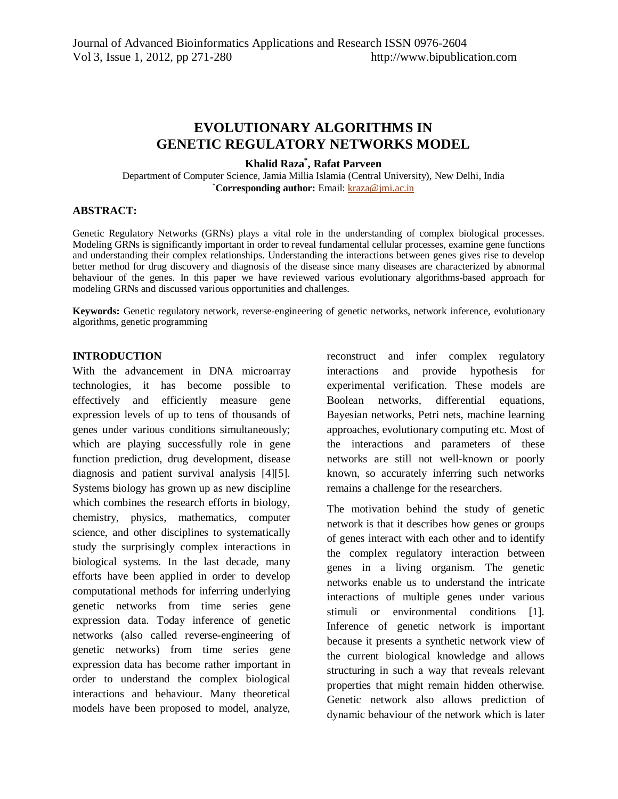# **EVOLUTIONARY ALGORITHMS IN GENETIC REGULATORY NETWORKS MODEL**

### **Khalid Raza\* , Rafat Parveen**

Department of Computer Science, Jamia Millia Islamia (Central University), New Delhi, India \***Corresponding author:** Email: kraza@jmi.ac.in

#### **ABSTRACT:**

Genetic Regulatory Networks (GRNs) plays a vital role in the understanding of complex biological processes. Modeling GRNs is significantly important in order to reveal fundamental cellular processes, examine gene functions and understanding their complex relationships. Understanding the interactions between genes gives rise to develop better method for drug discovery and diagnosis of the disease since many diseases are characterized by abnormal behaviour of the genes. In this paper we have reviewed various evolutionary algorithms-based approach for modeling GRNs and discussed various opportunities and challenges.

**Keywords:** Genetic regulatory network, reverse-engineering of genetic networks, network inference, evolutionary algorithms, genetic programming

#### **INTRODUCTION**

With the advancement in DNA microarray technologies, it has become possible to effectively and efficiently measure gene expression levels of up to tens of thousands of genes under various conditions simultaneously; which are playing successfully role in gene function prediction, drug development, disease diagnosis and patient survival analysis [4][5]. Systems biology has grown up as new discipline which combines the research efforts in biology, chemistry, physics, mathematics, computer science, and other disciplines to systematically study the surprisingly complex interactions in biological systems. In the last decade, many efforts have been applied in order to develop computational methods for inferring underlying genetic networks from time series gene expression data. Today inference of genetic networks (also called reverse-engineering of genetic networks) from time series gene expression data has become rather important in order to understand the complex biological interactions and behaviour. Many theoretical models have been proposed to model, analyze,

reconstruct and infer complex regulatory interactions and provide hypothesis for experimental verification. These models are Boolean networks, differential equations, Bayesian networks, Petri nets, machine learning approaches, evolutionary computing etc. Most of the interactions and parameters of these networks are still not well-known or poorly known, so accurately inferring such networks remains a challenge for the researchers.

The motivation behind the study of genetic network is that it describes how genes or groups of genes interact with each other and to identify the complex regulatory interaction between genes in a living organism. The genetic networks enable us to understand the intricate interactions of multiple genes under various stimuli or environmental conditions [1]. Inference of genetic network is important because it presents a synthetic network view of the current biological knowledge and allows structuring in such a way that reveals relevant properties that might remain hidden otherwise. Genetic network also allows prediction of dynamic behaviour of the network which is later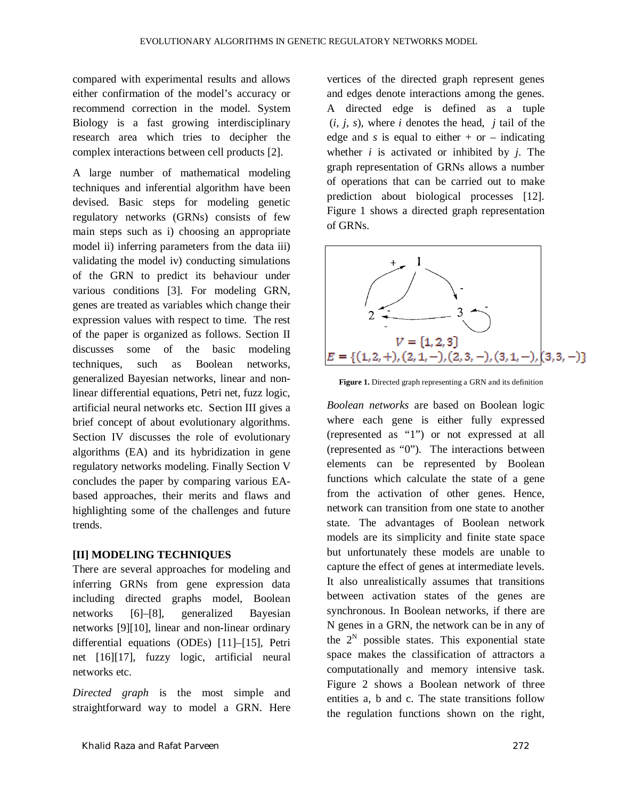compared with experimental results and allows either confirmation of the model's accuracy or recommend correction in the model. System Biology is a fast growing interdisciplinary research area which tries to decipher the complex interactions between cell products [2].

A large number of mathematical modeling techniques and inferential algorithm have been devised. Basic steps for modeling genetic regulatory networks (GRNs) consists of few main steps such as i) choosing an appropriate model ii) inferring parameters from the data iii) validating the model iv) conducting simulations of the GRN to predict its behaviour under various conditions [3]. For modeling GRN, genes are treated as variables which change their expression values with respect to time. The rest of the paper is organized as follows. Section II discusses some of the basic modeling techniques, such as Boolean networks, generalized Bayesian networks, linear and nonlinear differential equations, Petri net, fuzz logic, artificial neural networks etc. Section III gives a brief concept of about evolutionary algorithms. Section IV discusses the role of evolutionary algorithms (EA) and its hybridization in gene regulatory networks modeling. Finally Section V concludes the paper by comparing various EAbased approaches, their merits and flaws and highlighting some of the challenges and future trends.

## **[II] MODELING TECHNIQUES**

There are several approaches for modeling and inferring GRNs from gene expression data including directed graphs model, Boolean networks [6]–[8], generalized Bayesian networks [9][10], linear and non-linear ordinary differential equations (ODEs) [11]–[15], Petri net [16][17], fuzzy logic, artificial neural networks etc.

*Directed graph* is the most simple and straightforward way to model a GRN. Here vertices of the directed graph represent genes and edges denote interactions among the genes. A directed edge is defined as a tuple  $(i, j, s)$ , where *i* denotes the head, *j* tail of the edge and *s* is equal to either  $+$  or  $-$  indicating whether *i* is activated or inhibited by *j*. The graph representation of GRNs allows a number of operations that can be carried out to make prediction about biological processes [12]. Figure 1 shows a directed graph representation of GRNs.



**Figure 1.** Directed graph representing a GRN and its definition

*Boolean networks* are based on Boolean logic where each gene is either fully expressed (represented as "1") or not expressed at all (represented as "0"). The interactions between elements can be represented by Boolean functions which calculate the state of a gene from the activation of other genes. Hence, network can transition from one state to another state. The advantages of Boolean network models are its simplicity and finite state space but unfortunately these models are unable to capture the effect of genes at intermediate levels. It also unrealistically assumes that transitions between activation states of the genes are synchronous. In Boolean networks, if there are N genes in a GRN, the network can be in any of the  $2^N$  possible states. This exponential state space makes the classification of attractors a computationally and memory intensive task. Figure 2 shows a Boolean network of three entities a, b and c. The state transitions follow the regulation functions shown on the right,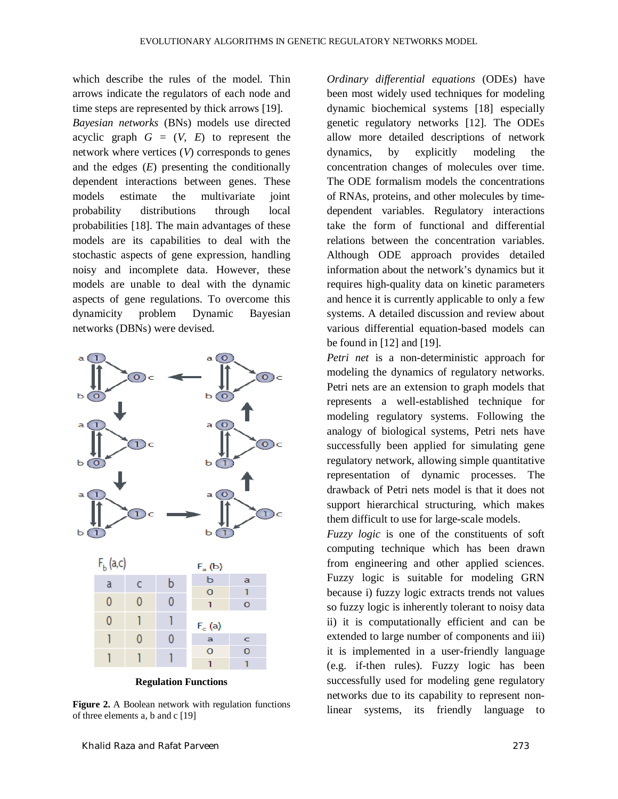which describe the rules of the model. Thin arrows indicate the regulators of each node and time steps are represented by thick arrows [19].

*Bayesian networks* (BNs) models use directed acyclic graph  $G = (V, E)$  to represent the network where vertices (*V*) corresponds to genes and the edges (*E*) presenting the conditionally dependent interactions between genes. These models estimate the multivariate joint probability distributions through local probabilities [18]. The main advantages of these models are its capabilities to deal with the stochastic aspects of gene expression, handling noisy and incomplete data. However, these models are unable to deal with the dynamic aspects of gene regulations. To overcome this dynamicity problem Dynamic Bayesian networks (DBNs) were devised.



**Regulation Functions**

**Figure 2.** A Boolean network with regulation functions of three elements a, b and c [19]

*Ordinary differential equations* (ODEs) have been most widely used techniques for modeling dynamic biochemical systems [18] especially genetic regulatory networks [12]. The ODEs allow more detailed descriptions of network dynamics, by explicitly modeling the concentration changes of molecules over time. The ODE formalism models the concentrations of RNAs, proteins, and other molecules by timedependent variables. Regulatory interactions take the form of functional and differential relations between the concentration variables. Although ODE approach provides detailed information about the network's dynamics but it requires high-quality data on kinetic parameters and hence it is currently applicable to only a few systems. A detailed discussion and review about various differential equation-based models can be found in [12] and [19].

*Petri net* is a non-deterministic approach for modeling the dynamics of regulatory networks. Petri nets are an extension to graph models that represents a well-established technique for modeling regulatory systems. Following the analogy of biological systems, Petri nets have successfully been applied for simulating gene regulatory network, allowing simple quantitative representation of dynamic processes. The drawback of Petri nets model is that it does not support hierarchical structuring, which makes them difficult to use for large-scale models.

*Fuzzy logic* is one of the constituents of soft computing technique which has been drawn from engineering and other applied sciences. Fuzzy logic is suitable for modeling GRN because i) fuzzy logic extracts trends not values so fuzzy logic is inherently tolerant to noisy data ii) it is computationally efficient and can be extended to large number of components and iii) it is implemented in a user-friendly language (e.g. if-then rules). Fuzzy logic has been successfully used for modeling gene regulatory networks due to its capability to represent nonlinear systems, its friendly language to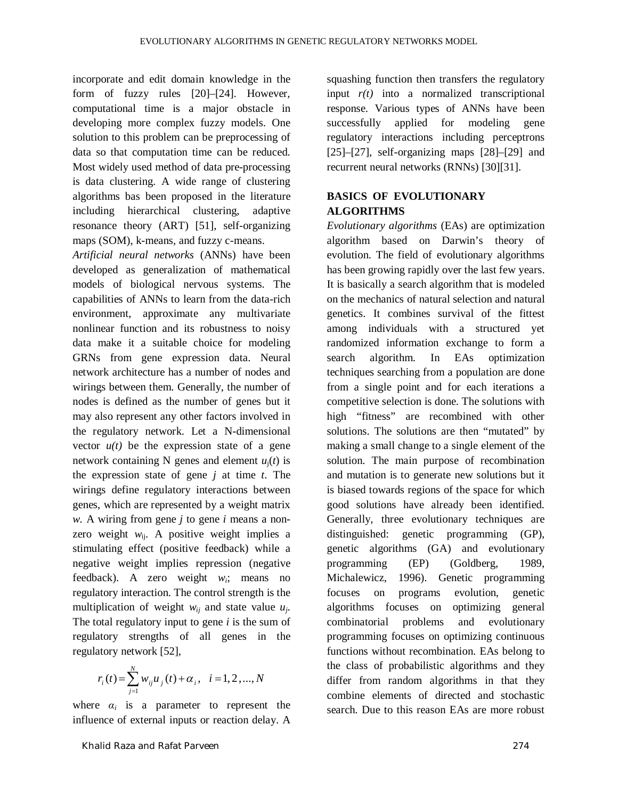incorporate and edit domain knowledge in the form of fuzzy rules [20]–[24]. However, computational time is a major obstacle in developing more complex fuzzy models. One solution to this problem can be preprocessing of data so that computation time can be reduced. Most widely used method of data pre-processing is data clustering. A wide range of clustering algorithms bas been proposed in the literature including hierarchical clustering, adaptive resonance theory (ART) [51], self-organizing maps (SOM), k-means, and fuzzy c-means.

*Artificial neural networks* (ANNs) have been developed as generalization of mathematical models of biological nervous systems. The capabilities of ANNs to learn from the data-rich environment, approximate any multivariate nonlinear function and its robustness to noisy data make it a suitable choice for modeling GRNs from gene expression data. Neural network architecture has a number of nodes and wirings between them. Generally, the number of nodes is defined as the number of genes but it may also represent any other factors involved in the regulatory network. Let a N-dimensional vector  $u(t)$  be the expression state of a gene network containing N genes and element  $u_i(t)$  is the expression state of gene *j* at time *t*. The wirings define regulatory interactions between genes, which are represented by a weight matrix *w*. A wiring from gene *j* to gene *i* means a nonzero weight  $w_{ii}$ . A positive weight implies a stimulating effect (positive feedback) while a negative weight implies repression (negative feedback). A zero weight *wi*; means no regulatory interaction. The control strength is the multiplication of weight  $w_{ij}$  and state value  $u_j$ . The total regulatory input to gene *i* is the sum of regulatory strengths of all genes in the regulatory network [52],

$$
r_i(t) = \sum_{j=1}^{N} w_{ij} u_j(t) + \alpha_i, \quad i = 1, 2, ..., N
$$

where  $\alpha_i$  is a parameter to represent the influence of external inputs or reaction delay. A

Khalid Raza and Rafat Parveen 274

squashing function then transfers the regulatory input  $r(t)$  into a normalized transcriptional response. Various types of ANNs have been successfully applied for modeling gene regulatory interactions including perceptrons  $[25]$ – $[27]$ , self-organizing maps  $[28]$ – $[29]$  and recurrent neural networks (RNNs) [30][31].

### **BASICS OF EVOLUTIONARY ALGORITHMS**

*Evolutionary algorithms* (EAs) are optimization algorithm based on Darwin's theory of evolution. The field of evolutionary algorithms has been growing rapidly over the last few years. It is basically a search algorithm that is modeled on the mechanics of natural selection and natural genetics. It combines survival of the fittest among individuals with a structured yet randomized information exchange to form a search algorithm. In EAs optimization techniques searching from a population are done from a single point and for each iterations a competitive selection is done. The solutions with high "fitness" are recombined with other solutions. The solutions are then "mutated" by making a small change to a single element of the solution. The main purpose of recombination and mutation is to generate new solutions but it is biased towards regions of the space for which good solutions have already been identified. Generally, three evolutionary techniques are distinguished: genetic programming (GP), genetic algorithms (GA) and evolutionary programming (EP) (Goldberg, 1989, Michalewicz, 1996). Genetic programming focuses on programs evolution, genetic algorithms focuses on optimizing general combinatorial problems and evolutionary programming focuses on optimizing continuous functions without recombination. EAs belong to the class of probabilistic algorithms and they differ from random algorithms in that they combine elements of directed and stochastic search. Due to this reason EAs are more robust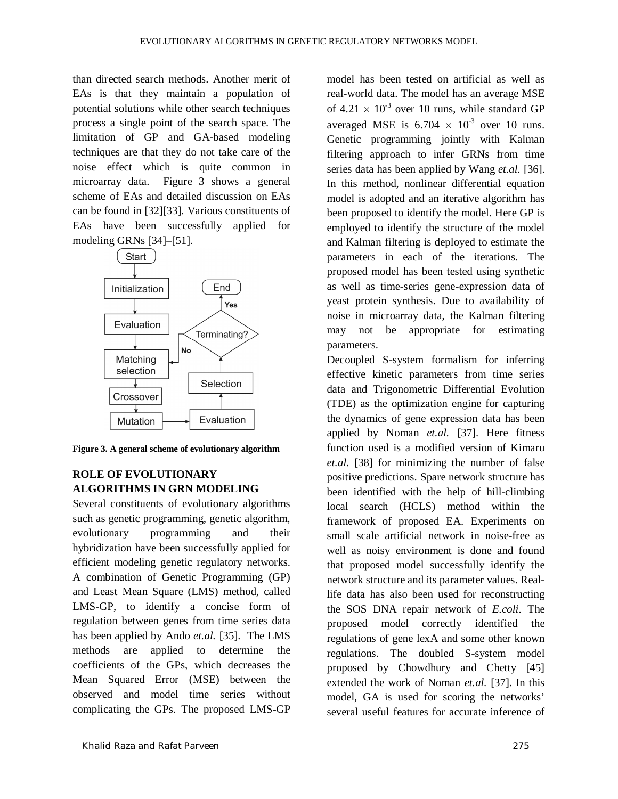than directed search methods. Another merit of EAs is that they maintain a population of potential solutions while other search techniques process a single point of the search space. The limitation of GP and GA-based modeling techniques are that they do not take care of the noise effect which is quite common in microarray data. Figure 3 shows a general scheme of EAs and detailed discussion on EAs can be found in [32][33]. Various constituents of EAs have been successfully applied for modeling GRNs [34]–[51].



**Figure 3. A general scheme of evolutionary algorithm**

## **ROLE OF EVOLUTIONARY ALGORITHMS IN GRN MODELING**

Several constituents of evolutionary algorithms such as genetic programming, genetic algorithm, evolutionary programming and their hybridization have been successfully applied for efficient modeling genetic regulatory networks. A combination of Genetic Programming (GP) and Least Mean Square (LMS) method, called LMS-GP, to identify a concise form of regulation between genes from time series data has been applied by Ando *et.al.* [35]. The LMS methods are applied to determine the coefficients of the GPs, which decreases the Mean Squared Error (MSE) between the observed and model time series without complicating the GPs. The proposed LMS-GP

model has been tested on artificial as well as real-world data. The model has an average MSE of  $4.21 \times 10^{-3}$  over 10 runs, while standard GP averaged MSE is  $6.704 \times 10^{-3}$  over 10 runs. Genetic programming jointly with Kalman filtering approach to infer GRNs from time series data has been applied by Wang *et.al.* [36]. In this method, nonlinear differential equation model is adopted and an iterative algorithm has been proposed to identify the model. Here GP is employed to identify the structure of the model and Kalman filtering is deployed to estimate the parameters in each of the iterations. The proposed model has been tested using synthetic as well as time-series gene-expression data of yeast protein synthesis. Due to availability of noise in microarray data, the Kalman filtering may not be appropriate for estimating parameters.

Decoupled S-system formalism for inferring effective kinetic parameters from time series data and Trigonometric Differential Evolution (TDE) as the optimization engine for capturing the dynamics of gene expression data has been applied by Noman *et.al.* [37]. Here fitness function used is a modified version of Kimaru *et.al.* [38] for minimizing the number of false positive predictions. Spare network structure has been identified with the help of hill-climbing local search (HCLS) method within the framework of proposed EA. Experiments on small scale artificial network in noise-free as well as noisy environment is done and found that proposed model successfully identify the network structure and its parameter values. Reallife data has also been used for reconstructing the SOS DNA repair network of *E.coli*. The proposed model correctly identified the regulations of gene lexA and some other known regulations. The doubled S-system model proposed by Chowdhury and Chetty [45] extended the work of Noman *et.al.* [37]. In this model, GA is used for scoring the networks' several useful features for accurate inference of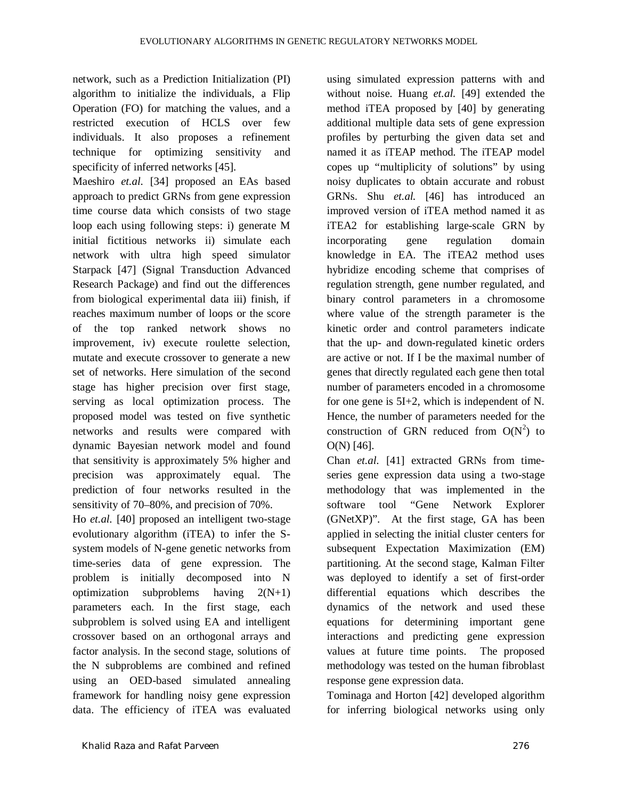network, such as a Prediction Initialization (PI) algorithm to initialize the individuals, a Flip Operation (FO) for matching the values, and a restricted execution of HCLS over few individuals. It also proposes a refinement technique for optimizing sensitivity and specificity of inferred networks [45].

Maeshiro *et.al.* [34] proposed an EAs based approach to predict GRNs from gene expression time course data which consists of two stage loop each using following steps: i) generate M initial fictitious networks ii) simulate each network with ultra high speed simulator Starpack [47] (Signal Transduction Advanced Research Package) and find out the differences from biological experimental data iii) finish, if reaches maximum number of loops or the score of the top ranked network shows no improvement, iv) execute roulette selection, mutate and execute crossover to generate a new set of networks. Here simulation of the second stage has higher precision over first stage, serving as local optimization process. The proposed model was tested on five synthetic networks and results were compared with dynamic Bayesian network model and found that sensitivity is approximately 5% higher and precision was approximately equal. The prediction of four networks resulted in the sensitivity of 70–80%, and precision of 70%.

Ho *et.al.* [40] proposed an intelligent two-stage evolutionary algorithm (iTEA) to infer the Ssystem models of N-gene genetic networks from time-series data of gene expression. The problem is initially decomposed into N optimization subproblems having 2(N+1) parameters each. In the first stage, each subproblem is solved using EA and intelligent crossover based on an orthogonal arrays and factor analysis. In the second stage, solutions of the N subproblems are combined and refined using an OED-based simulated annealing framework for handling noisy gene expression data. The efficiency of iTEA was evaluated using simulated expression patterns with and without noise. Huang *et.al.* [49] extended the method iTEA proposed by [40] by generating additional multiple data sets of gene expression profiles by perturbing the given data set and named it as iTEAP method. The iTEAP model copes up "multiplicity of solutions" by using noisy duplicates to obtain accurate and robust GRNs. Shu *et.al.* [46] has introduced an improved version of iTEA method named it as iTEA2 for establishing large-scale GRN by incorporating gene regulation domain knowledge in EA. The iTEA2 method uses hybridize encoding scheme that comprises of regulation strength, gene number regulated, and binary control parameters in a chromosome where value of the strength parameter is the kinetic order and control parameters indicate that the up- and down-regulated kinetic orders are active or not. If I be the maximal number of genes that directly regulated each gene then total number of parameters encoded in a chromosome for one gene is 5I+2, which is independent of N. Hence, the number of parameters needed for the construction of GRN reduced from  $O(N^2)$  to O(N) [46].

Chan *et.al.* [41] extracted GRNs from timeseries gene expression data using a two-stage methodology that was implemented in the software tool "Gene Network Explorer (GNetXP)". At the first stage, GA has been applied in selecting the initial cluster centers for subsequent Expectation Maximization (EM) partitioning. At the second stage, Kalman Filter was deployed to identify a set of first-order differential equations which describes the dynamics of the network and used these equations for determining important gene interactions and predicting gene expression values at future time points. The proposed methodology was tested on the human fibroblast response gene expression data.

Tominaga and Horton [42] developed algorithm for inferring biological networks using only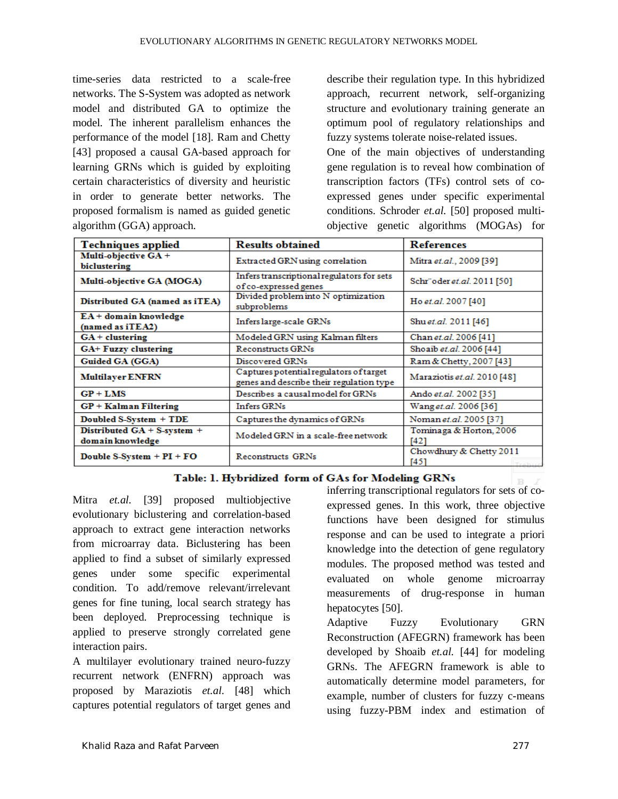time-series data restricted to a scale-free networks. The S-System was adopted as network model and distributed GA to optimize the model. The inherent parallelism enhances the performance of the model [18]. Ram and Chetty [43] proposed a causal GA-based approach for learning GRNs which is guided by exploiting certain characteristics of diversity and heuristic in order to generate better networks. The proposed formalism is named as guided genetic algorithm (GGA) approach.

describe their regulation type. In this hybridized approach, recurrent network, self-organizing structure and evolutionary training generate an optimum pool of regulatory relationships and fuzzy systems tolerate noise-related issues.

One of the main objectives of understanding gene regulation is to reveal how combination of transcription factors (TFs) control sets of coexpressed genes under specific experimental conditions. Schroder *et.al.* [50] proposed multiobjective genetic algorithms (MOGAs) for

| <b>Techniques applied</b>                       | <b>Results obtained</b>                                                             | References                                  |
|-------------------------------------------------|-------------------------------------------------------------------------------------|---------------------------------------------|
| Multi-objective GA+<br>biclustering             | Extracted GRN using correlation                                                     | Mitra et.al., 2009 [39]                     |
| Multi-objective GA (MOGA)                       | Infers transcriptional regulators for sets<br>of co-expressed genes                 | Schr" oder et.al. 2011 [50]                 |
| Distributed GA (named as iTEA)                  | Divided problem into N optimization<br>subproblems                                  | Ho et.al. 2007 [40]                         |
| EA+ domain knowledge<br>(named as iTEA2)        | Infers large-scale GRNs                                                             | Shuet.al. 2011 [46]                         |
| $GA + clustering$                               | Modeled GRN using Kalman filters                                                    | Chan et.al. 2006 [41]                       |
| GA+ Fuzzy clustering                            | <b>Reconstructs GRNs</b>                                                            | Shoaib et.al. 2006 [44]                     |
| Guided GA (GGA)                                 | Discovered GRNs                                                                     | Ram & Chetty, 2007 [43]                     |
| <b>Multilayer ENFRN</b>                         | Captures potential regulators of target<br>genes and describe their regulation type | Maraziotis et.al. 2010 [48]                 |
| $GP + LMS$                                      | Describes a causal model for GRNs                                                   | Ando et.al. 2002 [35]                       |
| $GP + Kalman$ Filtering                         | <b>Infers GRNs</b>                                                                  | Wanget.al. 2006 [36]                        |
| Doubled S-System + TDE                          | Captures the dynamics of GRNs                                                       | Noman et.al. 2005 [37]                      |
| Distributed GA + S-system +<br>domain knowledge | Modeled GRN in a scale-free network                                                 | Tominaga & Horton, 2006<br>T421             |
| Double S-System $+ PI + FO$                     | <b>Reconstructs GRNs</b>                                                            | Chowdhury & Chetty 2011<br>[45]<br>Tealsing |

### Table: 1. Hybridized form of GAs for Modeling GRNs

Mitra *et.al.* [39] proposed multiobjective evolutionary biclustering and correlation-based approach to extract gene interaction networks from microarray data. Biclustering has been applied to find a subset of similarly expressed genes under some specific experimental condition. To add/remove relevant/irrelevant genes for fine tuning, local search strategy has been deployed. Preprocessing technique is applied to preserve strongly correlated gene interaction pairs.

A multilayer evolutionary trained neuro-fuzzy recurrent network (ENFRN) approach was proposed by Maraziotis *et.al.* [48] which captures potential regulators of target genes and

inferring transcriptional regulators for sets of coexpressed genes. In this work, three objective functions have been designed for stimulus response and can be used to integrate a priori knowledge into the detection of gene regulatory modules. The proposed method was tested and evaluated on whole genome microarray measurements of drug-response in human hepatocytes [50].

Adaptive Fuzzy Evolutionary GRN Reconstruction (AFEGRN) framework has been developed by Shoaib *et.al.* [44] for modeling GRNs. The AFEGRN framework is able to automatically determine model parameters, for example, number of clusters for fuzzy c-means using fuzzy-PBM index and estimation of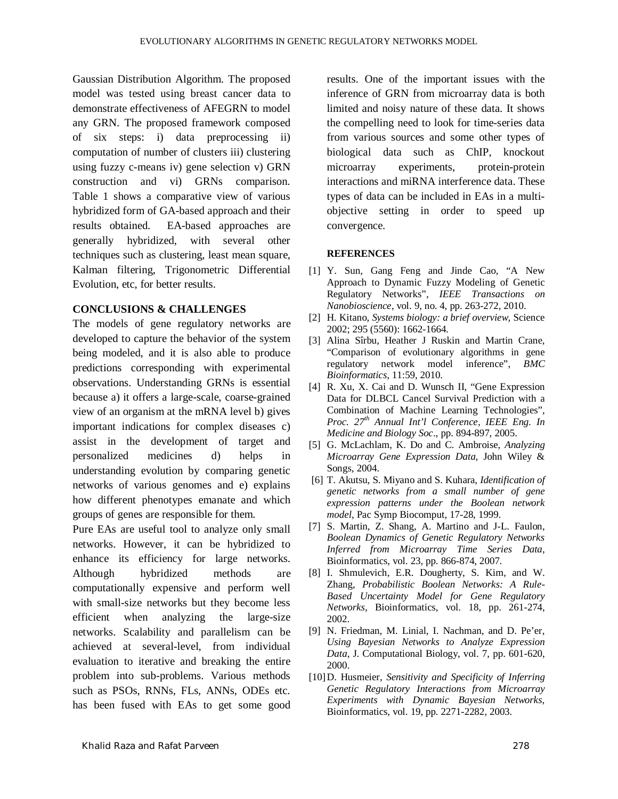Gaussian Distribution Algorithm. The proposed model was tested using breast cancer data to demonstrate effectiveness of AFEGRN to model any GRN. The proposed framework composed of six steps: i) data preprocessing ii) computation of number of clusters iii) clustering using fuzzy c-means iv) gene selection v) GRN construction and vi) GRNs comparison. Table 1 shows a comparative view of various hybridized form of GA-based approach and their results obtained. EA-based approaches are generally hybridized, with several other techniques such as clustering, least mean square, Kalman filtering, Trigonometric Differential Evolution, etc, for better results.

### **CONCLUSIONS & CHALLENGES**

The models of gene regulatory networks are developed to capture the behavior of the system being modeled, and it is also able to produce predictions corresponding with experimental observations. Understanding GRNs is essential because a) it offers a large-scale, coarse-grained view of an organism at the mRNA level b) gives important indications for complex diseases c) assist in the development of target and personalized medicines d) helps in understanding evolution by comparing genetic networks of various genomes and e) explains how different phenotypes emanate and which groups of genes are responsible for them.

Pure EAs are useful tool to analyze only small networks. However, it can be hybridized to enhance its efficiency for large networks. Although hybridized methods are computationally expensive and perform well with small-size networks but they become less efficient when analyzing the large-size networks. Scalability and parallelism can be achieved at several-level, from individual evaluation to iterative and breaking the entire problem into sub-problems. Various methods such as PSOs, RNNs, FLs, ANNs, ODEs etc. has been fused with EAs to get some good results. One of the important issues with the inference of GRN from microarray data is both limited and noisy nature of these data. It shows the compelling need to look for time-series data from various sources and some other types of biological data such as ChIP, knockout microarray experiments, protein-protein interactions and miRNA interference data. These types of data can be included in EAs in a multiobjective setting in order to speed up convergence.

### **REFERENCES**

- [1] Y. Sun, Gang Feng and Jinde Cao, "A New Approach to Dynamic Fuzzy Modeling of Genetic Regulatory Networks"*, IEEE Transactions on Nanobioscience*, vol. 9, no. 4, pp. 263-272, 2010.
- [2] H. Kitano, *Systems biology: a brief overview,* Science 2002; 295 (5560): 1662-1664.
- [3] Alina Sîrbu, Heather J Ruskin and Martin Crane, "Comparison of evolutionary algorithms in gene regulatory network model inference", *BMC Bioinformatics*, 11:59, 2010.
- [4] R. Xu, X. Cai and D. Wunsch II, "Gene Expression Data for DLBCL Cancel Survival Prediction with a Combination of Machine Learning Technologies", *Proc. 27th Annual Int'l Conference, IEEE Eng. In Medicine and Biology Soc*., pp. 894-897, 2005.
- [5] G. McLachlam, K. Do and C. Ambroise, *Analyzing Microarray Gene Expression Data,* John Wiley & Songs, 2004.
- [6] T. Akutsu, S. Miyano and S. Kuhara, *Identification of genetic networks from a small number of gene expression patterns under the Boolean network model*, Pac Symp Biocomput, 17-28, 1999.
- [7] S. Martin, Z. Shang, A. Martino and J-L. Faulon, *Boolean Dynamics of Genetic Regulatory Networks Inferred from Microarray Time Series Data*, Bioinformatics, vol. 23, pp. 866-874, 2007.
- [8] I. Shmulevich, E.R. Dougherty, S. Kim, and W. Zhang, *Probabilistic Boolean Networks: A Rule-Based Uncertainty Model for Gene Regulatory Networks*, Bioinformatics, vol. 18, pp. 261-274, 2002.
- [9] N. Friedman, M. Linial, I. Nachman, and D. Pe'er, *Using Bayesian Networks to Analyze Expression Data*, J. Computational Biology, vol. 7, pp. 601-620, 2000.
- [10]D. Husmeier, *Sensitivity and Specificity of Inferring Genetic Regulatory Interactions from Microarray Experiments with Dynamic Bayesian Networks,* Bioinformatics, vol. 19, pp. 2271-2282, 2003.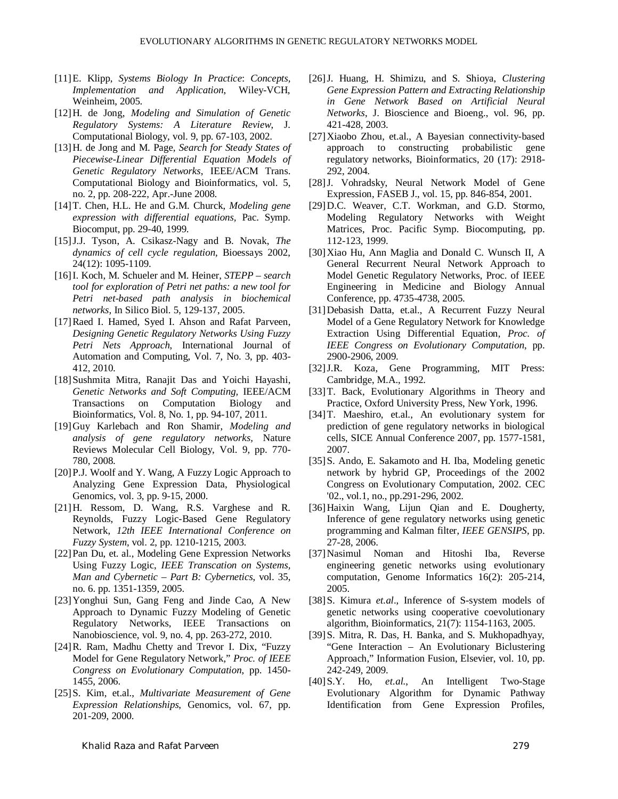- [11]E. Klipp, *Systems Biology In Practice*: *Concepts, Implementation and Application*, Wiley-VCH, Weinheim, 2005.
- [12]H. de Jong, *Modeling and Simulation of Genetic Regulatory Systems: A Literature Review*, J. Computational Biology, vol. 9, pp. 67-103, 2002.
- [13]H. de Jong and M. Page, *Search for Steady States of Piecewise-Linear Differential Equation Models of Genetic Regulatory Networks*, IEEE/ACM Trans. Computational Biology and Bioinformatics, vol. 5, no. 2, pp. 208-222, Apr.-June 2008.
- [14]T. Chen, H.L. He and G.M. Churck, *Modeling gene expression with differential equations,* Pac. Symp. Biocomput, pp. 29-40, 1999.
- [15]J.J. Tyson, A. Csikasz-Nagy and B. Novak, *The dynamics of cell cycle regulation*, Bioessays 2002, 24(12): 1095-1109.
- [16]I. Koch, M. Schueler and M. Heiner, *STEPP – search tool for exploration of Petri net paths: a new tool for Petri net-based path analysis in biochemical networks,* In Silico Biol. 5, 129-137, 2005.
- [17]Raed I. Hamed, Syed I. Ahson and Rafat Parveen, *Designing Genetic Regulatory Networks Using Fuzzy Petri Nets Approach*, International Journal of Automation and Computing, Vol. 7, No. 3, pp. 403- 412, 2010.
- [18]Sushmita Mitra, Ranajit Das and Yoichi Hayashi, *Genetic Networks and Soft Computing,* IEEE/ACM Transactions on Computation Biology and Bioinformatics, Vol. 8, No. 1, pp. 94-107, 2011.
- [19]Guy Karlebach and Ron Shamir, *Modeling and analysis of gene regulatory networks,* Nature Reviews Molecular Cell Biology, Vol. 9, pp. 770- 780, 2008.
- [20]P.J. Woolf and Y. Wang, A Fuzzy Logic Approach to Analyzing Gene Expression Data, Physiological Genomics, vol. 3, pp. 9-15, 2000.
- [21]H. Ressom, D. Wang, R.S. Varghese and R. Reynolds, Fuzzy Logic-Based Gene Regulatory Network, *12th IEEE International Conference on Fuzzy System*, vol. 2, pp. 1210-1215, 2003.
- [22] Pan Du, et. al., Modeling Gene Expression Networks Using Fuzzy Logic, *IEEE Transcation on Systems, Man and Cybernetic – Part B: Cybernetics*, vol. 35, no. 6. pp. 1351-1359, 2005.
- [23]Yonghui Sun, Gang Feng and Jinde Cao, A New Approach to Dynamic Fuzzy Modeling of Genetic Regulatory Networks, IEEE Transactions on Nanobioscience, vol. 9, no. 4, pp. 263-272, 2010.
- [24]R. Ram, Madhu Chetty and Trevor I. Dix, "Fuzzy Model for Gene Regulatory Network," *Proc. of IEEE Congress on Evolutionary Computation*, pp. 1450- 1455, 2006.
- [25]S. Kim, et.al., *Multivariate Measurement of Gene Expression Relationships*, Genomics, vol. 67, pp. 201-209, 2000.
- [26]J. Huang, H. Shimizu, and S. Shioya, *Clustering Gene Expression Pattern and Extracting Relationship in Gene Network Based on Artificial Neural Networks*, J. Bioscience and Bioeng., vol. 96, pp. 421-428, 2003.
- [27]Xiaobo Zhou, et.al., A Bayesian connectivity-based approach to constructing probabilistic gene regulatory networks, Bioinformatics, 20 (17): 2918- 292, 2004.
- [28]J. Vohradsky, Neural Network Model of Gene Expression, FASEB J., vol. 15, pp. 846-854, 2001.
- [29]D.C. Weaver, C.T. Workman, and G.D. Stormo, Modeling Regulatory Networks with Weight Matrices, Proc. Pacific Symp. Biocomputing, pp. 112-123, 1999.
- [30]Xiao Hu, Ann Maglia and Donald C. Wunsch II, A General Recurrent Neural Network Approach to Model Genetic Regulatory Networks, Proc. of IEEE Engineering in Medicine and Biology Annual Conference, pp. 4735-4738, 2005.
- [31]Debasish Datta, et.al., A Recurrent Fuzzy Neural Model of a Gene Regulatory Network for Knowledge Extraction Using Differential Equation, *Proc. of IEEE Congress on Evolutionary Computation*, pp. 2900-2906, 2009.
- [32]J.R. Koza, Gene Programming, MIT Press: Cambridge, M.A., 1992.
- [33]T. Back, Evolutionary Algorithms in Theory and Practice, Oxford University Press, New York, 1996.
- [34]T. Maeshiro, et.al., An evolutionary system for prediction of gene regulatory networks in biological cells, SICE Annual Conference 2007, pp. 1577-1581, 2007.
- [35] S. Ando, E. Sakamoto and H. Iba, Modeling genetic network by hybrid GP, Proceedings of the 2002 Congress on Evolutionary Computation, 2002. CEC '02., vol.1, no., pp.291-296, 2002.
- [36]Haixin Wang, Lijun Qian and E. Dougherty, Inference of gene regulatory networks using genetic programming and Kalman filter, *IEEE GENSIPS*, pp. 27-28, 2006.
- [37]Nasimul Noman and Hitoshi Iba, Reverse engineering genetic networks using evolutionary computation, Genome Informatics 16(2): 205-214, 2005.
- [38]S. Kimura *et.al*., Inference of S-system models of genetic networks using cooperative coevolutionary algorithm, Bioinformatics, 21(7): 1154-1163, 2005.
- [39]S. Mitra, R. Das, H. Banka, and S. Mukhopadhyay, "Gene Interaction – An Evolutionary Biclustering Approach," Information Fusion, Elsevier, vol. 10, pp. 242-249, 2009.
- [40]S.Y. Ho, *et.al.*, An Intelligent Two-Stage Evolutionary Algorithm for Dynamic Pathway Identification from Gene Expression Profiles,